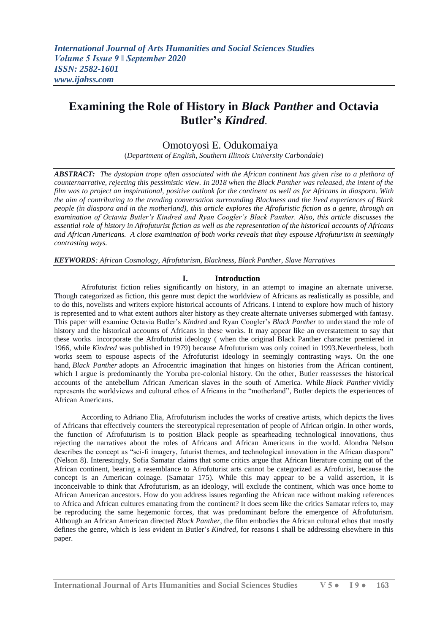# **Examining the Role of History in** *Black Panther* **and Octavia Butler's** *Kindred.*

## Omotoyosi E. Odukomaiya

(*Department of English*, *Southern Illinois University Carbondale*)

*ABSTRACT: The dystopian trope often associated with the African continent has given rise to a plethora of counternarrative, rejecting this pessimistic view. In 2018 when the Black Panther was released, the intent of the film was to project an inspirational, positive outlook for the continent as well as for Africans in diaspora. With the aim of contributing to the trending conversation surrounding Blackness and the lived experiences of Black people (in diaspora and in the motherland), this article explores the Afrofuristic fiction as a genre, through an examination of Octavia Butler's Kindred and Ryan Coogler's Black Panther. Also, this article discusses the essential role of history in Afrofuturist fiction as well as the representation of the historical accounts of Africans and African Americans. A close examination of both works reveals that they espouse Afrofuturism in seemingly contrasting ways.* 

*KEYWORDS: African Cosmology, Afrofuturism, Blackness, Black Panther, Slave Narratives*

### **I. Introduction**

Afrofuturist fiction relies significantly on history, in an attempt to imagine an alternate universe. Though categorized as fiction, this genre must depict the worldview of Africans as realistically as possible, and to do this, novelists and writers explore historical accounts of Africans. I intend to explore how much of history is represented and to what extent authors alter history as they create alternate universes submerged with fantasy. This paper will examine Octavia Butler's *Kindred* and Ryan Coogler's *Black Panther* to understand the role of history and the historical accounts of Africans in these works. It may appear like an overstatement to say that these works incorporate the Afrofuturist ideology ( when the original Black Panther character premiered in 1966, while *Kindred* was published in 1979) because Afrofuturism was only coined in 1993.Nevertheless, both works seem to espouse aspects of the Afrofuturist ideology in seemingly contrasting ways. On the one hand, *Black Panther* adopts an Afrocentric imagination that hinges on histories from the African continent, which I argue is predominantly the Yoruba pre-colonial history. On the other, Butler reassesses the historical accounts of the antebellum African American slaves in the south of America. While *Black Panther* vividly represents the worldviews and cultural ethos of Africans in the "motherland", Butler depicts the experiences of African Americans.

According to Adriano Elia, Afrofuturism includes the works of creative artists, which depicts the lives of Africans that effectively counters the stereotypical representation of people of African origin. In other words, the function of Afrofuturism is to position Black people as spearheading technological innovations, thus rejecting the narratives about the roles of Africans and African Americans in the world. Alondra Nelson describes the concept as "sci-fi imagery, futurist themes, and technological innovation in the African diaspora" (Nelson 8). Interestingly, Sofia Samatar claims that some critics argue that African literature coming out of the African continent, bearing a resemblance to Afrofuturist arts cannot be categorized as Afrofurist, because the concept is an American coinage. (Samatar 175). While this may appear to be a valid assertion, it is inconceivable to think that Afrofuturism, as an ideology, will exclude the continent, which was once home to African American ancestors. How do you address issues regarding the African race without making references to Africa and African cultures emanating from the continent? It does seem like the critics Samatar refers to, may be reproducing the same hegemonic forces, that was predominant before the emergence of Afrofuturism. Although an African American directed *Black Panther*, the film embodies the African cultural ethos that mostly defines the genre, which is less evident in Butler's *Kindred,* for reasons I shall be addressing elsewhere in this paper.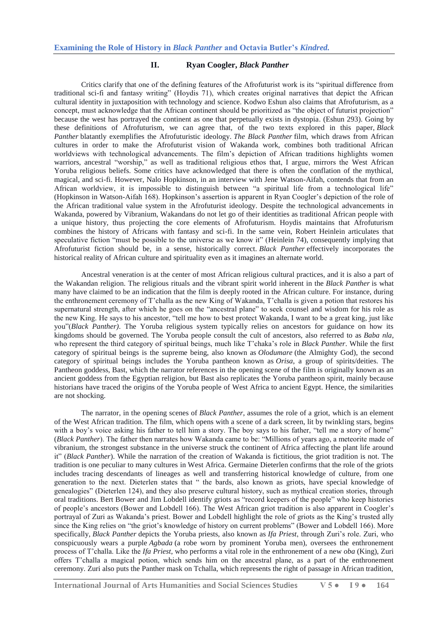### **II. Ryan Coogler,** *Black Panther*

Critics clarify that one of the defining features of the Afrofuturist work is its "spiritual difference from traditional sci-fi and fantasy writing" (Hoydis 71), which creates original narratives that depict the African cultural identity in juxtaposition with technology and science. Kodwo Eshun also claims that Afrofuturism, as a concept, must acknowledge that the African continent should be prioritized as "the object of futurist projection" because the west has portrayed the continent as one that perpetually exists in dystopia. (Eshun 293). Going by these definitions of Afrofuturism, we can agree that, of the two texts explored in this paper, *Black Panther* blatantly exemplifies the Afrofuturistic ideology. *The Black Panther* film, which draws from African cultures in order to make the Afrofuturist vision of Wakanda work, combines both traditional African worldviews with technological advancements. The film's depiction of African traditions highlights women warriors, ancestral "worship," as well as traditional religious ethos that. I argue, mirrors the West African Yoruba religious beliefs. Some critics have acknowledged that there is often the conflation of the mythical, magical, and sci-fi. However, Nalo Hopkinson, in an interview with Jene Watson-Aifah, contends that from an African worldview, it is impossible to distinguish between "a spiritual life from a technological life" (Hopkinson in Watson-Aifah 168). Hopkinson's assertion is apparent in Ryan Coogler's depiction of the role of the African traditional value system in the Afrofuturist ideology. Despite the technological advancements in Wakanda, powered by Vibranium, Wakandans do not let go of their identities as traditional African people with a unique history, thus projecting the core elements of Afrofuturism. Hoydis maintains that Afrofuturism combines the history of Africans with fantasy and sci-fi. In the same vein, Robert Heinlein articulates that speculative fiction "must be possible to the universe as we know it" (Heinlein 74), consequently implying that Afrofuturist fiction should be, in a sense, historically correct. *Black Panther* effectively incorporates the historical reality of African culture and spirituality even as it imagines an alternate world.

Ancestral veneration is at the center of most African religious cultural practices, and it is also a part of the Wakandan religion. The religious rituals and the vibrant spirit world inherent in the *Black Panther* is what many have claimed to be an indication that the film is deeply rooted in the African culture. For instance, during the enthronement ceremony of T'challa as the new King of Wakanda, T'challa is given a potion that restores his supernatural strength, after which he goes on the "ancestral plane" to seek counsel and wisdom for his role as the new King. He says to his ancestor, "tell me how to best protect Wakanda, I want to be a great king, just like you"(*Black Panther*). The Yoruba religious system typically relies on ancestors for guidance on how its kingdoms should be governed. The Yoruba people consult the cult of ancestors, also referred to as *Baba nla*, who represent the third category of spiritual beings, much like T'chaka's role in *Black Panther*. While the first category of spiritual beings is the supreme being, also known as *Olodumare* (the Almighty God), the second category of spiritual beings includes the Yoruba pantheon known as *Orisa*, a group of spirits/deities. The Pantheon goddess, Bast, which the narrator references in the opening scene of the film is originally known as an ancient goddess from the Egyptian religion, but Bast also replicates the Yoruba pantheon spirit, mainly because historians have traced the origins of the Yoruba people of West Africa to ancient Egypt. Hence, the similarities are not shocking.

The narrator, in the opening scenes of *Black Panther*, assumes the role of a griot, which is an element of the West African tradition. The film, which opens with a scene of a dark screen, lit by twinkling stars, begins with a boy's voice asking his father to tell him a story. The boy says to his father, "tell me a story of home" (*Black Panther*). The father then narrates how Wakanda came to be: "Millions of years ago, a meteorite made of vibranium, the strongest substance in the universe struck the continent of Africa affecting the plant life around it" (*Black Panther*). While the narration of the creation of Wakanda is fictitious, the griot tradition is not. The tradition is one peculiar to many cultures in West Africa. Germaine Dieterlen confirms that the role of the griots includes tracing descendants of lineages as well and transferring historical knowledge of culture, from one generation to the next. Dieterlen states that " the bards, also known as griots, have special knowledge of genealogies" (Dieterlen 124), and they also preserve cultural history, such as mythical creation stories, through oral traditions. Bert Bower and Jim Lobdell identify griots as "record keepers of the people" who keep histories of people's ancestors (Bower and Lobdell 166). The West African griot tradition is also apparent in Coogler's portrayal of Zuri as Wakanda's priest. Bower and Lobdell highlight the role of griots as the King's trusted ally since the King relies on "the griot's knowledge of history on current problems" (Bower and Lobdell 166). More specifically, *Black Panther* depicts the Yoruba priests, also known as *Ifa Priest*, through Zuri's role. Zuri, who conspicuously wears a purple *Agbada* (a robe worn by prominent Yoruba men), oversees the enthronement process of T'challa. Like the *Ifa Priest*, who performs a vital role in the enthronement of a new *oba* (King), Zuri offers T'challa a magical potion, which sends him on the ancestral plane, as a part of the enthronement ceremony. Zuri also puts the Panther mask on Tchalla, which represents the right of passage in African tradition,

**International Journal of Arts Humanities and Social Sciences Studies V 5 ● I 9 ● 164**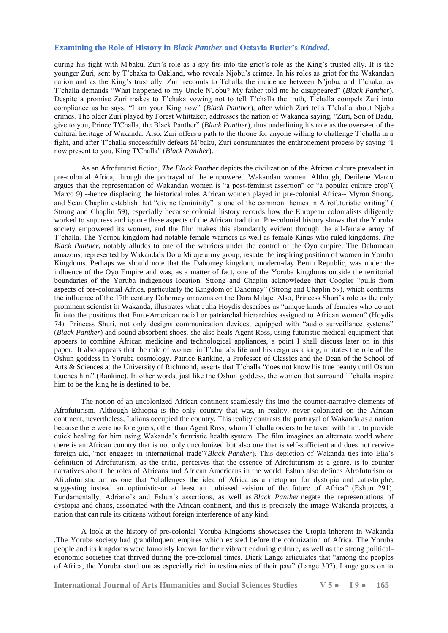## **Examining the Role of History in** *Black Panther* **and Octavia Butler's** *Kindred.*

during his fight with M'baku. Zuri's role as a spy fits into the griot's role as the King's trusted ally. It is the younger Zuri, sent by T'chaka to Oakland, who reveals Njobu's crimes. In his roles as griot for the Wakandan nation and as the King's trust ally, Zuri recounts to Tchalla the incidence between N'jobu, and T'chaka, as T'challa demands ―What happened to my Uncle N'Jobu? My father told me he disappeared‖ (*Black Panther*). Despite a promise Zuri makes to T'chaka vowing not to tell T'challa the truth, T'challa compels Zuri into compliance as he says, "I am your King now" *(Black Panther)*, after which Zuri tells T'challa about Njobu crimes. The older Zuri played by Forest Whittaker, addresses the nation of Wakanda saying, "Zuri, Son of Badu, give to you, Prince T'Challa, the Black Panther" (*Black Panther*), thus underlining his role as the overseer of the cultural heritage of Wakanda. Also, Zuri offers a path to the throne for anyone willing to challenge T'challa in a fight, and after T'challa successfully defeats M'baku, Zuri consummates the enthronement process by saying "I now present to you, King T'Challa" (*Black Panther*).

As an Afrofuturist fiction, *The Black Panther* depicts the civilization of the African culture prevalent in pre-colonial Africa, through the portrayal of the empowered Wakandan women. Although, Derilene Marco argues that the representation of Wakandan women is "a post-feminist assertion" or "a popular culture crop"( Marco 9) --hence displacing the historical roles African women played in pre-colonial Africa-- Myron Strong, and Sean Chaplin establish that "divine femininity" is one of the common themes in Afrofuturistic writing" ( Strong and Chaplin 59), especially because colonial history records how the European colonialists diligently worked to suppress and ignore these aspects of the African tradition. Pre-colonial history shows that the Yoruba society empowered its women, and the film makes this abundantly evident through the all-female army of T'challa. The Yoruba kingdom had notable female warriors as well as female Kings who ruled kingdoms. *The Black Panther*, notably alludes to one of the warriors under the control of the Oyo empire. The Dahomean amazons, represented by Wakanda's Dora Milaje army group, restate the inspiring position of women in Yoruba Kingdoms. Perhaps we should note that the Dahomey kingdom, modern-day Benin Republic, was under the influence of the Oyo Empire and was, as a matter of fact, one of the Yoruba kingdoms outside the territorial boundaries of the Yoruba indigenous location. Strong and Chaplin acknowledge that Coogler "pulls from aspects of pre-colonial Africa, particularly the Kingdom of Dahomey" (Strong and Chaplin 59), which confirms the influence of the 17th century Dahomey amazons on the Dora Milaje. Also, Princess Shuri's role as the only prominent scientist in Wakanda, illustrates what Julia Hoydis describes as "unique kinds of females who do not fit into the positions that Euro-American racial or patriarchal hierarchies assigned to African women" (Hoydis 74). Princess Shuri, not only designs communication devices, equipped with "audio surveillance systems" (*Black Panther*) and sound absorbent shoes, she also heals Agent Ross, using futuristic medical equipment that appears to combine African medicine and technological appliances, a point I shall discuss later on in this paper. It also appears that the role of women in T'challa's life and his reign as a king, imitates the role of the Oshun goddess in Yoruba cosmology. Patrice Rankine, a Professor of Classics and the Dean of the School of Arts & Sciences at the University of Richmond, asserts that T'challa "does not know his true beauty until Oshun touches him‖ (Rankine). In other words, just like the Oshun goddess, the women that surround T'challa inspire him to be the king he is destined to be.

The notion of an uncolonized African continent seamlessly fits into the counter-narrative elements of Afrofuturism. Although Ethiopia is the only country that was, in reality, never colonized on the African continent, nevertheless, Italians occupied the country. This reality contrasts the portrayal of Wakanda as a nation because there were no foreigners, other than Agent Ross, whom T'challa orders to be taken with him, to provide quick healing for him using Wakanda's futuristic health system. The film imagines an alternate world where there is an African country that is not only uncolonized but also one that is self-sufficient and does not receive foreign aid, "nor engages in international trade"(*Black Panther*). This depiction of Wakanda ties into Elia's definition of Afrofuturism, as the critic, perceives that the essence of Afrofuturism as a genre, is to counter narratives about the roles of Africans and African Americans in the world. Eshun also defines Afrofuturism or Afrofuturistic art as one that "challenges the idea of Africa as a metaphor for dystopia and catastrophe, suggesting instead an optimistic-or at least an unbiased -vision of the future of Africa" (Eshun 291). Fundamentally, Adriano's and Eshun's assertions, as well as *Black Panther* negate the representations of dystopia and chaos, associated with the African continent, and this is precisely the image Wakanda projects, a nation that can rule its citizens without foreign interference of any kind.

A look at the history of pre-colonial Yoruba Kingdoms showcases the Utopia inherent in Wakanda *.*The Yoruba society had grandiloquent empires which existed before the colonization of Africa. The Yoruba people and its kingdoms were famously known for their vibrant enduring culture, as well as the strong politicaleconomic societies that thrived during the pre-colonial times. Dierk Lange articulates that "among the peoples of Africa, the Yoruba stand out as especially rich in testimonies of their past" (Lange 307). Lange goes on to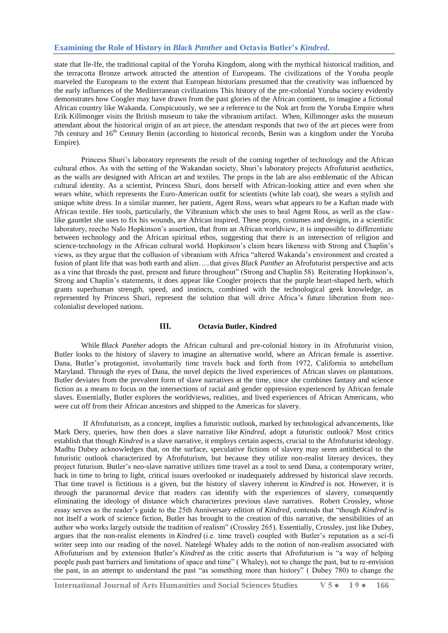## **Examining the Role of History in** *Black Panther* **and Octavia Butler's** *Kindred.*

state that Ile-Ife, the traditional capital of the Yoruba Kingdom, along with the mythical historical tradition, and the terracotta Bronze artwork attracted the attention of Europeans. The civilizations of the Yoruba people marveled the Europeans to the extent that European historians presumed that the creativity was influenced by the early influences of the Mediterranean civilizations This history of the pre-colonial Yoruba society evidently demonstrates how Coogler may have drawn from the past glories of the African continent, to imagine a fictional African country like Wakanda. Conspicuously, we see a reference to the Nok art from the Yoruba Empire when Erik Killmonger visits the British museum to take the vibranium artifact. When, Killmonger asks the museum attendant about the historical origin of an art piece, the attendant responds that two of the art pieces were from 7th century and 16<sup>th</sup> Century Benin (according to historical records, Benin was a kingdom under the Yoruba Empire).

Princess Shuri's laboratory represents the result of the coming together of technology and the African cultural ethos. As with the setting of the Wakandan society, Shuri's laboratory projects Afrofuturist aesthetics, as the walls are designed with African art and textiles. The props in the lab are also emblematic of the African cultural identity. As a scientist, Princess Shuri, dons herself with African-looking attire and even when she wears white, which represents the Euro-American outfit for scientists (white lab coat), she wears a stylish and unique white dress. In a similar manner, her patient, Agent Ross, wears what appears to be a Kaftan made with African textile. Her tools, particularly, the Vibranium which she uses to heal Agent Ross, as well as the clawlike gauntlet she uses to fix his wounds, are African inspired. These props, costumes and designs, in a scientific laboratory, reecho Nalo Hopkinson's assertion, that from an African worldview, it is impossible to differentiate between technology and the African spiritual ethos, suggesting that there is an intersection of religion and science-technology in the African cultural world. Hopkinson's claim bears likeness with Strong and Chaplin's views, as they argue that the collusion of vibranium with Africa "altered Wakanda's environment and created a fusion of plant life that was both earth and alien…..that gives *Black Panther* an Afrofuturist perspective and acts as a vine that threads the past, present and future throughout" (Strong and Chaplin 58). Reiterating Hopkinson's, Strong and Chaplin's statements, it does appear like Coogler projects that the purple heart-shaped herb, which grants superhuman strength, speed, and instincts, combined with the technological geek knowledge, as represented by Princess Shuri, represent the solution that will drive Africa's future liberation from neocolonialist developed nations.

## **III. Octavia Butler, Kindred**

While *Black Panther* adopts the African cultural and pre-colonial history in its Afrofuturist vision, Butler looks to the history of slavery to imagine an alternative world, where an African female is assertive. Dana, Butler's protagonist, involuntarily time travels back and forth from 1972, California to antebellum Maryland. Through the eyes of Dana, the novel depicts the lived experiences of African slaves on plantations. Butler deviates from the prevalent form of slave narratives at the time, since she combines fantasy and science fiction as a means to focus on the intersections of racial and gender oppression experienced by African female slaves. Essentially, Butler explores the worldviews, realities, and lived experiences of African Americans, who were cut off from their African ancestors and shipped to the Americas for slavery.

If Afrofuturism, as a concept, implies a futuristic outlook, marked by technological advancements, like Mark Dery, queries, how then does a slave narrative like *Kindred*, adopt a futuristic outlook? Most critics establish that though *Kindred* is a slave narrative, it employs certain aspects, crucial to the Afrofuturist ideology. Madhu Dubey acknowledges that, on the surface, speculative fictions of slavery may seem antithetical to the futuristic outlook characterized by Afrofuturism, but because they utilize non-realist literary devices, they project futurism. Butler's neo-slave narrative utilizes time travel as a tool to send Dana, a contemporary writer, back in time to bring to light, critical issues overlooked or inadequately addressed by historical slave records. That time travel is fictitious is a given, but the history of slavery inherent in *Kindred* is not. However, it is through the paranormal device that readers can identify with the experiences of slavery, consequently eliminating the ideology of distance which characterizes previous slave narratives. Robert Crossley, whose essay serves as the reader's guide to the 25th Anniversary edition of *Kindred*, contends that "though *Kindred* is not itself a work of science fiction, Butler has brought to the creation of this narrative, the sensibilities of an author who works largely outside the tradition of realism" (Crossley 265). Essentially, Crossley, just like Dubey, argues that the non-realist elements in *Kindred* (i.e. time travel) coupled with Butler's reputation as a sci-fi writer seep into our reading of the novel. Natelegé Whaley adds to the notion of non-realism associated with Afrofuturism and by extension Butler's *Kindred* as the critic asserts that Afrofuturism is "a way of helping people push past barriers and limitations of space and time" (Whaley), not to change the past, but to re-envision the past, in an attempt to understand the past "as something more than history" (Dubey 780) to change the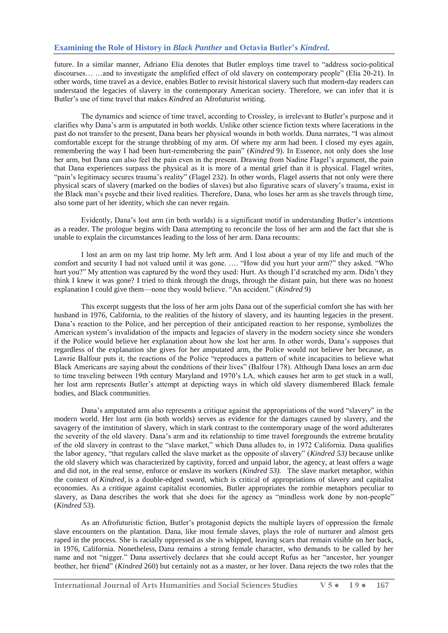future. In a similar manner, Adriano Elia denotes that Butler employs time travel to "address socio-political discourses… …and to investigate the amplified effect of old slavery on contemporary people" (Elia 20-21). In other words, time travel as a device, enables Butler to revisit historical slavery such that modern-day readers can understand the legacies of slavery in the contemporary American society. Therefore, we can infer that it is Butler's use of time travel that makes *Kindred* an Afrofuturist writing.

The dynamics and science of time travel, according to Crossley, is irrelevant to Butler's purpose and it clarifies why Dana's arm is amputated in both worlds. Unlike other science fiction texts where lacerations in the past do not transfer to the present, Dana bears her physical wounds in both worlds. Dana narrates, "I was almost comfortable except for the strange throbbing of my arm. Of where my arm had been. I closed my eyes again, remembering the way I had been hurt-remembering the pain" (*Kindred* 9). In Essence, not only does she lose her arm, but Dana can also feel the pain even in the present. Drawing from Nadine Flagel's argument, the pain that Dana experiences surpass the physical as it is more of a mental grief than it is physical. Flagel writes, "pain's legitimacy secures trauma's reality" (Flagel 232). In other words, Flagel asserts that not only were there physical scars of slavery (marked on the bodies of slaves) but also figurative scars of slavery's trauma, exist in the Black man's psyche and their lived realities. Therefore, Dana, who loses her arm as she travels through time, also some part of her identity, which she can never regain.

Evidently, Dana's lost arm (in both worlds) is a significant motif in understanding Butler's intentions as a reader. The prologue begins with Dana attempting to reconcile the loss of her arm and the fact that she is unable to explain the circumstances leading to the loss of her arm. Dana recounts:

I lost an arm on my last trip home. My left arm. And I lost about a year of my life and much of the comfort and security I had not valued until it was gone. …. "How did you hurt your arm?" they asked. "Who hurt you?" My attention was captured by the word they used: Hurt. As though I'd scratched my arm. Didn't they think I knew it was gone? I tried to think through the drugs, through the distant pain, but there was no honest explanation I could give them—none they would believe. "An accident." (*Kindred* 9)

This excerpt suggests that the loss of her arm jolts Dana out of the superficial comfort she has with her husband in 1976, California, to the realities of the history of slavery, and its haunting legacies in the present. Dana's reaction to the Police, and her perception of their anticipated reaction to her response, symbolizes the American system's invalidation of the impacts and legacies of slavery in the modern society since she wonders if the Police would believe her explanation about how she lost her arm. In other words, Dana's supposes that regardless of the explanation she gives for her amputated arm, the Police would not believe her because, as Lawrie Balfour puts it, the reactions of the Police "reproduces a pattern of white incapacities to believe what Black Americans are saying about the conditions of their lives" (Balfour 178). Although Dana loses an arm due to time traveling between 19th century Maryland and 1970's LA, which causes her arm to get stuck in a wall, her lost arm represents Butler's attempt at depicting ways in which old slavery dismembered Black female bodies, and Black communities.

Dana's amputated arm also represents a critique against the appropriations of the word "slavery" in the modern world. Her lost arm (in both worlds) serves as evidence for the damages caused by slavery, and the savagery of the institution of slavery, which in stark contrast to the contemporary usage of the word adulterates the severity of the old slavery. Dana's arm and its relationship to time travel foregrounds the extreme brutality of the old slavery in contrast to the "slave market," which Dana alludes to, in 1972 California. Dana qualifies the labor agency, "that regulars called the slave market as the opposite of slavery" (*Kindred 53*) because unlike the old slavery which was characterized by captivity, forced and unpaid labor, the agency, at least offers a wage and did not, in the real sense, enforce or enslave its workers (*Kindred 53).* The slave market metaphor, within the context of *Kindred,* is a double-edged sword, which is critical of appropriations of slavery and capitalist economies. As a critique against capitalist economies, Butler appropriates the zombie metaphors peculiar to slavery, as Dana describes the work that she does for the agency as "mindless work done by non-people" (*Kindred* 53).

As an Afrofuturistic fiction, Butler's protagonist depicts the multiple layers of oppression the female slave encounters on the plantation. Dana, like most female slaves, plays the role of nurturer and almost gets raped in the process. She is racially oppressed as she is whipped, leaving scars that remain visible on her back, in 1976, California. Nonetheless, Dana remains a strong female character, who demands to be called by her name and not "nigger." Dana assertively declares that she could accept Rufus as her "ancestor, her younger brother, her friend‖ (*Kindred* 260) but certainly not as a master, or her lover. Dana rejects the two roles that the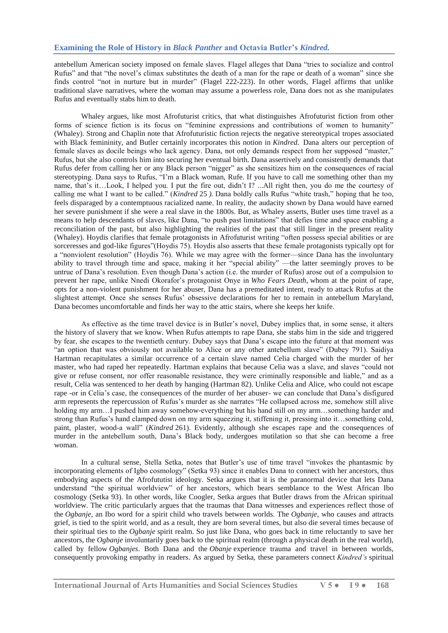antebellum American society imposed on female slaves. Flagel alleges that Dana "tries to socialize and control Rufus" and that "the novel's climax substitutes the death of a man for the rape or death of a woman" since she finds control "not in nurture but in murder" (Flagel 222-223). In other words, Flagel affirms that unlike traditional slave narratives, where the woman may assume a powerless role, Dana does not as she manipulates Rufus and eventually stabs him to death.

Whaley argues, like most Afrofuturist critics, that what distinguishes Afrofuturist fiction from other forms of science fiction is its focus on "feminine expressions and contributions of women to humanity" (Whaley). Strong and Chaplin note that Afrofuturistic fiction rejects the negative stereotypical tropes associated with Black femininity, and Butler certainly incorporates this notion in *Kindred.* Dana alters our perception of female slaves as docile beings who lack agency. Dana, not only demands respect from her supposed "master," Rufus, but she also controls him into securing her eventual birth. Dana assertively and consistently demands that Rufus defer from calling her or any Black person "nigger" as she sensitizes him on the consequences of racial stereotyping. Dana says to Rufus, "I'm a Black woman, Rufe. If you have to call me something other than my name, that's it…Look, I helped you. I put the fire out, didn't I? ...All right then, you do me the courtesy of calling me what I want to be called." (*Kindred* 25 ). Dana boldly calls Rufus "white trash," hoping that he too, feels disparaged by a contemptuous racialized name. In reality, the audacity shown by Dana would have earned her severe punishment if she were a real slave in the 1800s. But, as Whaley asserts, Butler uses time travel as a means to help descendants of slaves, like Dana, "to push past limitations" that defies time and space enabling a reconciliation of the past, but also highlighting the realities of the past that still linger in the present reality (Whaley). Hoydis clarifies that female protagonists in Afrofuturist writing "often possess special abilities or are sorceresses and god-like figures"(Hoydis 75). Hoydis also asserts that these female protagonists typically opt for a "nonviolent resolution" (Hoydis 76). While we may agree with the former—since Dana has the involuntary ability to travel through time and space, making it her "special ability" —the latter seemingly proves to be untrue of Dana's resolution. Even though Dana's action (i.e. the murder of Rufus) arose out of a compulsion to prevent her rape, unlike Nnedi Okorafor's protagonist Onye in *Who Fears Death,* whom at the point of rape, opts for a non-violent punishment for her abuser, Dana has a premeditated intent, ready to attack Rufus at the slightest attempt. Once she senses Rufus' obsessive declarations for her to remain in antebellum Maryland, Dana becomes uncomfortable and finds her way to the attic stairs, where she keeps her knife.

As effective as the time travel device is in Butler's novel, Dubey implies that, in some sense, it alters the history of slavery that we know. When Rufus attempts to rape Dana, she stabs him in the side and triggered by fear, she escapes to the twentieth century. Dubey says that Dana's escape into the future at that moment was "an option that was obviously not available to Alice or any other antebellum slave" (Dubey 791). Saidiya Hartman recapitulates a similar occurrence of a certain slave named Celia charged with the murder of her master, who had raped her repeatedly. Hartman explains that because Celia was a slave, and slaves "could not give or refuse consent, nor offer reasonable resistance, they were criminally responsible and liable," and as a result, Celia was sentenced to her death by hanging (Hartman 82). Unlike Celia and Alice, who could not escape rape -or in Celia's case, the consequences of the murder of her abuser- we can conclude that Dana's disfigured arm represents the repercussion of Rufus's murder as she narrates "He collapsed across me, somehow still alive holding my arm...I pushed him away somehow-everything but his hand still on my arm...something harder and strong than Rufus's hand clamped down on my arm squeezing it, stiffening it, pressing into it…something cold, paint, plaster, wood-a wall" (*Kindred* 261). Evidently, although she escapes rape and the consequences of murder in the antebellum south, Dana's Black body, undergoes mutilation so that she can become a free woman.

In a cultural sense, Stella Setka, notes that Butler's use of time travel "invokes the phantasmic by incorporating elements of Igbo cosmology" (Setka 93) since it enables Dana to connect with her ancestors, thus embodying aspects of the Afrofututist ideology. Setka argues that it is the paranormal device that lets Dana understand "the spiritual worldview" of her ancestors, which bears semblance to the West African Ibo cosmology (Setka 93). In other words, like Coogler, Setka argues that Butler draws from the African spiritual worldview. The critic particularly argues that the traumas that Dana witnesses and experiences reflect those of the *Ogbanje*, an Ibo word for a spirit child who travels between worlds. The *Ogbanje*, who causes and attracts grief, is tied to the spirit world, and as a result, they are born several times, but also die several times because of their spiritual ties to the *Ogbanje* spirit realm. So just like Dana, who goes back in time reluctantly to save her ancestors, the *Ogbanje* involuntarily goes back to the spiritual realm (through a physical death in the real world), called by fellow *Ogbanjes*. Both Dana and the *Obanje* experience trauma and travel in between worlds, consequently provoking empathy in readers. As argued by Setka, these parameters connect *Kindred's* spiritual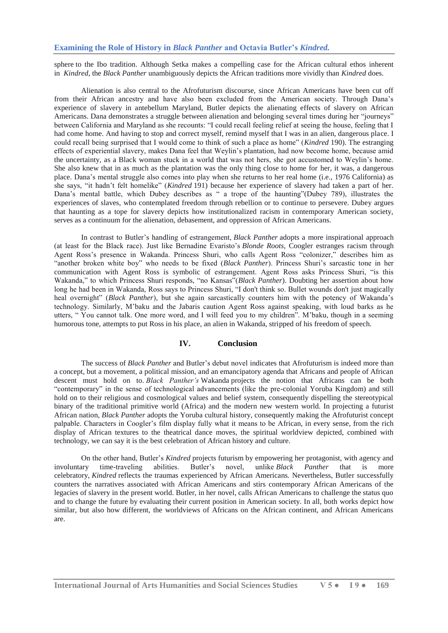sphere to the Ibo tradition. Although Setka makes a compelling case for the African cultural ethos inherent in *Kindred*, the *Black Panther* unambiguously depicts the African traditions more vividly than *Kindred* does.

Alienation is also central to the Afrofuturism discourse, since African Americans have been cut off from their African ancestry and have also been excluded from the American society. Through Dana's experience of slavery in antebellum Maryland, Butler depicts the alienating effects of slavery on African Americans. Dana demonstrates a struggle between alienation and belonging several times during her "journeys" between California and Maryland as she recounts: "I could recall feeling relief at seeing the house, feeling that I had come home. And having to stop and correct myself, remind myself that I was in an alien, dangerous place. I could recall being surprised that I would come to think of such a place as home" (*Kindred* 190). The estranging effects of experiential slavery, makes Dana feel that Weylin's plantation, had now become home, because amid the uncertainty, as a Black woman stuck in a world that was not hers, she got accustomed to Weylin's home. She also knew that in as much as the plantation was the only thing close to home for her, it was, a dangerous place. Dana's mental struggle also comes into play when she returns to her real home (i.e., 1976 California) as she says, "it hadn't felt homelike" (*Kindred* 191) because her experience of slavery had taken a part of her. Dana's mental battle, which Dubey describes as " a trope of the haunting"(Dubey 789), illustrates the experiences of slaves, who contemplated freedom through rebellion or to continue to persevere. Dubey argues that haunting as a tope for slavery depicts how institutionalized racism in contemporary American society, serves as a continuum for the alienation, debasement, and oppression of African Americans.

In contrast to Butler's handling of estrangement, *Black Panther* adopts a more inspirational approach (at least for the Black race). Just like Bernadine Evaristo's *Blonde Roots*, Coogler estranges racism through Agent Ross's presence in Wakanda. Princess Shuri, who calls Agent Ross "colonizer," describes him as "another broken white boy" who needs to be fixed (*Black Panther*). Princess Shuri's sarcastic tone in her communication with Agent Ross is symbolic of estrangement. Agent Ross asks Princess Shuri, "is this Wakanda," to which Princess Shuri responds, "no Kansas"(*Black Panther*). Doubting her assertion about how long he had been in Wakanda, Ross says to Princess Shuri, "I don't think so. Bullet wounds don't just magically heal overnight" (*Black Panther*), but she again sarcastically counters him with the potency of Wakanda's technology. Similarly, M'baku and the Jabaris caution Agent Ross against speaking, with loud barks as he utters, "You cannot talk. One more word, and I will feed you to my children". M'baku, though in a seeming humorous tone, attempts to put Ross in his place, an alien in Wakanda, stripped of his freedom of speech.

#### **IV. Conclusion**

The success of *Black Panther* and Butler's debut novel indicates that Afrofuturism is indeed more than a concept, but a movement, a political mission, and an emancipatory agenda that Africans and people of African descent must hold on to. *Black Panther's* Wakanda projects the notion that Africans can be both "contemporary" in the sense of technological advancements (like the pre-colonial Yoruba Kingdom) and still hold on to their religious and cosmological values and belief system, consequently dispelling the stereotypical binary of the traditional primitive world (Africa) and the modern new western world. In projecting a futurist African nation, *Black Panther* adopts the Yoruba cultural history, consequently making the Afrofuturist concept palpable. Characters in Coogler's film display fully what it means to be African, in every sense, from the rich display of African textures to the theatrical dance moves, the spiritual worldview depicted, combined with technology, we can say it is the best celebration of African history and culture.

On the other hand, Butler's *Kindred* projects futurism by empowering her protagonist, with agency and involuntary time-traveling abilities. Butler's novel, unlike *Black Panther* that is more celebratory, *Kindred* reflects the traumas experienced by African Americans. Nevertheless, Butler successfully counters the narratives associated with African Americans and stirs contemporary African Americans of the legacies of slavery in the present world. Butler, in her novel, calls African Americans to challenge the status quo and to change the future by evaluating their current position in American society. In all, both works depict how similar, but also how different, the worldviews of Africans on the African continent, and African Americans are.